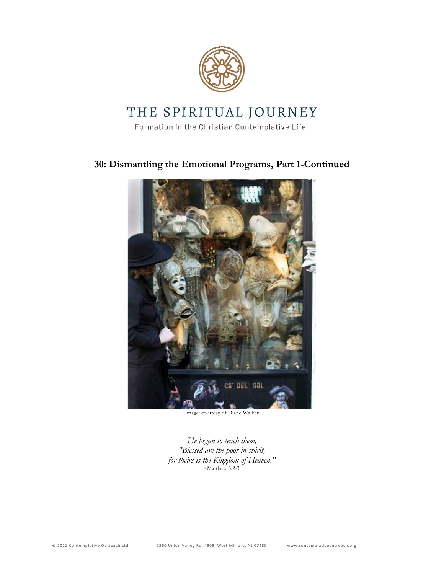

# THE SPIRITUAL JOURNEY

Formation in the Christian Contemplative Life

# **30: Dismantling the Emotional Programs, Part 1-Continued**



Image: courtesy of Diane Walker

*He began to teach them, "Blessed are the poor in spirit, for theirs is the Kingdom of Heaven." -* Matthew 5:2-3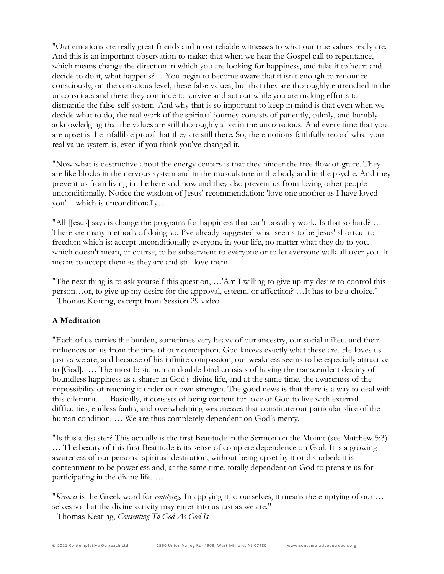"Our emotions are really great friends and most reliable witnesses to what our true values really are. And this is an important observation to make: that when we hear the Gospel call to repentance, which means change the direction in which you are looking for happiness, and take it to heart and decide to do it, what happens? …You begin to become aware that it isn't enough to renounce consciously, on the conscious level, these false values, but that they are thoroughly entrenched in the unconscious and there they continue to survive and act out while you are making efforts to dismantle the false-self system. And why that is so important to keep in mind is that even when we decide what to do, the real work of the spiritual journey consists of patiently, calmly, and humbly acknowledging that the values are still thoroughly alive in the unconscious. And every time that you are upset is the infallible proof that they are still there. So, the emotions faithfully record what your real value system is, even if you think you've changed it.

"Now what is destructive about the energy centers is that they hinder the free flow of grace. They are like blocks in the nervous system and in the musculature in the body and in the psyche. And they prevent us from living in the here and now and they also prevent us from loving other people unconditionally. Notice the wisdom of Jesus' recommendation: 'love one another as I have loved you' -- which is unconditionally…

"All [Jesus] says is change the programs for happiness that can't possibly work. Is that so hard? … There are many methods of doing so. I've already suggested what seems to be Jesus' shortcut to freedom which is: accept unconditionally everyone in your life, no matter what they do to you, which doesn't mean, of course, to be subservient to everyone or to let everyone walk all over you. It means to accept them as they are and still love them…

"The next thing is to ask yourself this question, …'Am I willing to give up my desire to control this person…or, to give up my desire for the approval, esteem, or affection? …It has to be a choice." - Thomas Keating, excerpt from Session 29 video

## **A Meditation**

"Each of us carries the burden, sometimes very heavy of our ancestry, our social milieu, and their influences on us from the time of our conception. God knows exactly what these are. He loves us just as we are, and because of his infinite compassion, our weakness seems to be especially attractive to [God]. … The most basic human double-bind consists of having the transcendent destiny of boundless happiness as a sharer in God's divine life, and at the same time, the awareness of the impossibility of reaching it under our own strength. The good news is that there is a way to deal with this dilemma. … Basically, it consists of being content for love of God to live with external difficulties, endless faults, and overwhelming weaknesses that constitute our particular slice of the human condition. … We are thus completely dependent on God's mercy.

"Is this a disaster? This actually is the first Beatitude in the Sermon on the Mount (see Matthew 5:3). … The beauty of this first Beatitude is its sense of complete dependence on God. It is a growing awareness of our personal spiritual destitution, without being upset by it or disturbed: it is contentment to be powerless and, at the same time, totally dependent on God to prepare us for participating in the divine life. …

"*Kenosis* is the Greek word for *emptying.* In applying it to ourselves, it means the emptying of our … selves so that the divine activity may enter into us just as we are."

- Thomas Keating, *Consenting To God As God Is*